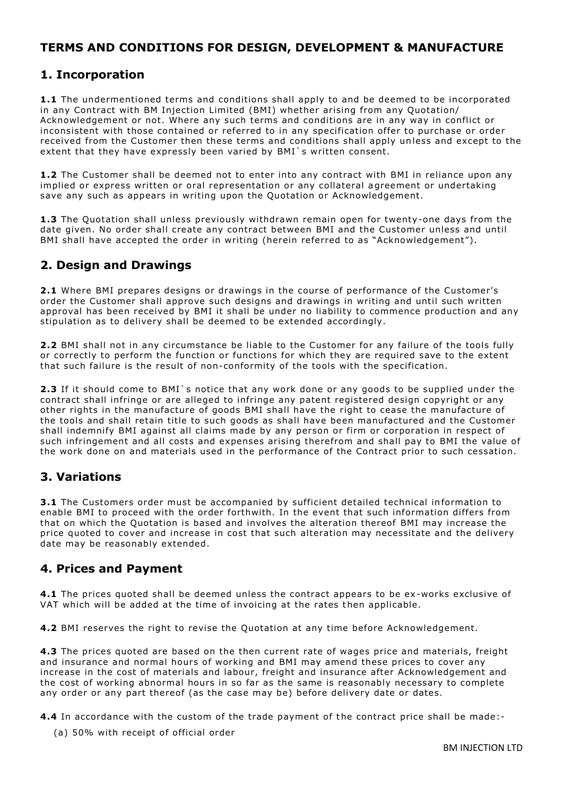# **TERMS AND CONDITIONS FOR DESIGN, DEVELOPMENT & MANUFACTURE**

#### **1. Incorporation**

**1.1** The undermentioned terms and conditions shall apply to and be deemed to be incorporated in any Contract with BM Injection Limited (BMI) whether arising from any Quotation/ Acknowledgement or not. Where any such terms and conditions are in any way in conflict or inconsistent with those contained or referred to in any specification offer to purchase or order received from the Customer then these terms and conditions shall apply unless and except to the extent that they have expressly been varied by BMI`s written consent.

**1.2** The Customer shall be deemed not to enter into any contract with BMI in reliance upon any implied or express written or oral representation or any collateral agreement or undertaking save any such as appears in writing upon the Quotation or Acknowledgement.

**1.3** The Quotation shall unless previously withdrawn remain open for twenty-one days from the date given. No order shall create any contract between BMI and the Customer unless and until BMI shall have accepted the order in writing (herein referred to as "Acknowledgement").

# **2. Design and Drawings**

**2.1** Where BMI prepares designs or drawings in the course of performance of the Customer's order the Customer shall approve such designs and drawings in writing and until such written approval has been received by BMI it shall be under no liability to commence production and any stipulation as to delivery shall be deemed to be extended accordingly.

**2.2** BMI shall not in any circumstance be liable to the Customer for any failure of the tools fully or correctly to perform the function or functions for which they are required save to the extent that such failure is the result of non-conformity of the tools with the specification.

**2.3** If it should come to BMI`s notice that any work done or any goods to be supplied under the contract shall infringe or are alleged to infringe any patent registered design copyright or any other rights in the manufacture of goods BMI shall have the right to cease the manufacture of the tools and shall retain title to such goods as shall have been manufactured and the Customer shall indemnify BMI against all claims made by any person or firm or corporation in respect of such infringement and all costs and expenses arising therefrom and shall pay to BMI the value of the work done on and materials used in the performance of the Contract prior to such cessation.

#### **3. Variations**

**3.1** The Customers order must be accompanied by sufficient detailed technical information to enable BMI to proceed with the order forthwith. In the event that such information differs from that on which the Quotation is based and involves the alteration thereof BMI may increase the price quoted to cover and increase in cost that such alteration may necessitate and the delivery date may be reasonably extended.

#### **4. Prices and Payment**

**4.1** The prices quoted shall be deemed unless the contract appears to be ex-works exclusive of VAT which will be added at the time of invoicing at the rates then applicable.

**4.2** BMI reserves the right to revise the Quotation at any time before Acknowledgement.

**4.3** The prices quoted are based on the then current rate of wages price and materials, freight and insurance and normal hours of working and BMI may amend these prices to cover any increase in the cost of materials and labour, freight and insurance after Acknowledgement and the cost of working abnormal hours in so far as the same is reasonably necessary to complete any order or any part thereof (as the case may be) before delivery date or dates.

**4.4** In accordance with the custom of the trade payment of the contract price shall be made:-

(a) 50% with receipt of official order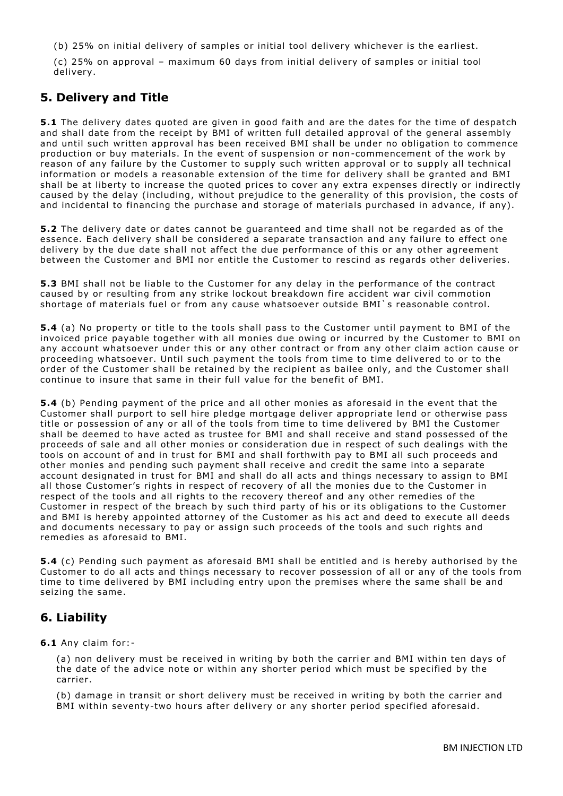(b) 25% on initial delivery of samples or initial tool delivery whichever is the ea rliest.

(c) 25% on approval – maximum 60 days from initial delivery of samples or initial tool delivery.

#### **5. Delivery and Title**

**5.1** The delivery dates quoted are given in good faith and are the dates for the time of despatch and shall date from the receipt by BMI of written full detailed approval of the general assembly and until such written approval has been received BMI shall be under no obligation to commence production or buy materials. In the event of suspension or non-commencement of the work by reason of any failure by the Customer to supply such written approval or to supply all technical information or models a reasonable extension of the time for delivery shall be granted and BMI shall be at liberty to increase the quoted prices to cover any extra expenses directly or indirectly caused by the delay (including, without prejudice to the generality of this provision, the costs of and incidental to financing the purchase and storage of materials purchased in advance, if any).

**5.2** The delivery date or dates cannot be guaranteed and time shall not be regarded as of the essence. Each delivery shall be considered a separate transaction and any failure to effect one delivery by the due date shall not affect the due performance of this or any other agreement between the Customer and BMI nor entitle the Customer to rescind as regards other deliveries.

**5.3** BMI shall not be liable to the Customer for any delay in the performance of the contract caused by or resulting from any strike lockout breakdown fire accident war civil commotion shortage of materials fuel or from any cause whatsoever outside BMI`s reasonable control.

**5.4** (a) No property or title to the tools shall pass to the Customer until payment to BMI of the invoiced price payable together with all monies due owing or incurred by the Customer to BMI on any account whatsoever under this or any other contract or from any other claim action cause or proceeding whatsoever. Until such payment the tools from time to time delivered to or to the order of the Customer shall be retained by the recipient as bailee only, and the Customer shall continue to insure that same in their full value for the benefit of BMI.

**5.4** (b) Pending payment of the price and all other monies as aforesaid in the event that the Customer shall purport to sell hire pledge mortgage deliver appropriate lend or otherwise pass title or possession of any or all of the tools from time to time delivered by BMI the Customer shall be deemed to have acted as trustee for BMI and shall receive and stand possessed of the proceeds of sale and all other monies or consideration due in respect of such dealings with the tools on account of and in trust for BMI and shall forthwith pay to BMI all such proceeds and other monies and pending such payment shall receive and credit the same into a separate account designated in trust for BMI and shall do all acts and things necessary to assign to BMI all those Customer's rights in respect of recovery of all the monies due to the Customer in respect of the tools and all rights to the recovery thereof and any other remedies of the Customer in respect of the breach by such third party of his or its obligations to the Customer and BMI is hereby appointed attorney of the Customer as his act and deed to execute all deeds and documents necessary to pay or assign such proceeds of the tools and such rights and remedies as aforesaid to BMI.

**5.4** (c) Pending such payment as aforesaid BMI shall be entitled and is hereby authorised by the Customer to do all acts and things necessary to recover possession of all or any of the tools from time to time delivered by BMI including entry upon the premises where the same shall be and seizing the same.

# **6. Liability**

**6.1** Any claim for:-

(a) non delivery must be received in writing by both the carrier and BMI within ten days of the date of the advice note or within any shorter period which must be specified by the carrier.

(b) damage in transit or short delivery must be received in writing by both the carrier and BMI within seventy-two hours after delivery or any shorter period specified aforesaid.